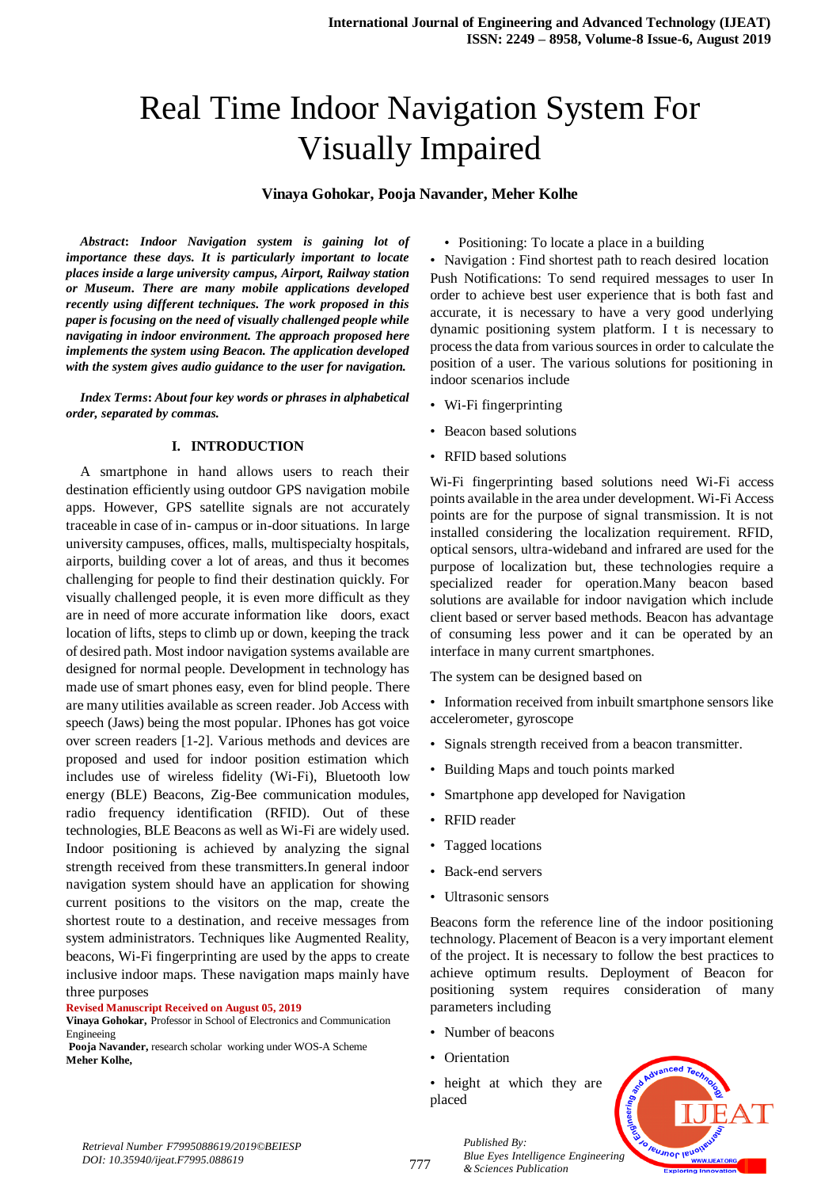# Real Time Indoor Navigation System For Visually Impaired

#### **Vinaya Gohokar, Pooja Navander, Meher Kolhe**

*Abstract***:** *Indoor Navigation system is gaining lot of importance these days. It is particularly important to locate places inside a large university campus, Airport, Railway station or Museum. There are many mobile applications developed recently using different techniques. The work proposed in this paper is focusing on the need of visually challenged people while navigating in indoor environment. The approach proposed here implements the system using Beacon. The application developed with the system gives audio guidance to the user for navigation.*

*Index Terms***:** *About four key words or phrases in alphabetical order, separated by commas.* 

#### **I. INTRODUCTION**

A smartphone in hand allows users to reach their destination efficiently using outdoor GPS navigation mobile apps. However, GPS satellite signals are not accurately traceable in case of in- campus or in-door situations. In large university campuses, offices, malls, multispecialty hospitals, airports, building cover a lot of areas, and thus it becomes challenging for people to find their destination quickly. For visually challenged people, it is even more difficult as they are in need of more accurate information like doors, exact location of lifts, steps to climb up or down, keeping the track of desired path. Most indoor navigation systems available are designed for normal people. Development in technology has made use of smart phones easy, even for blind people. There are many utilities available as screen reader. Job Access with speech (Jaws) being the most popular. IPhones has got voice over screen readers [1-2]. Various methods and devices are proposed and used for indoor position estimation which includes use of wireless fidelity (Wi-Fi), Bluetooth low energy (BLE) Beacons, Zig-Bee communication modules, radio frequency identification (RFID). Out of these technologies, BLE Beacons as well as Wi-Fi are widely used. Indoor positioning is achieved by analyzing the signal strength received from these transmitters.In general indoor navigation system should have an application for showing current positions to the visitors on the map, create the shortest route to a destination, and receive messages from system administrators. Techniques like Augmented Reality, beacons, Wi-Fi fingerprinting are used by the apps to create inclusive indoor maps. These navigation maps mainly have three purposes

#### **Revised Manuscript Received on August 05, 2019**

**Vinaya Gohokar,** Professor in School of Electronics and Communication Engineeing

**Pooja Navander,** research scholar working under WOS-A Scheme **Meher Kolhe,**

• Positioning: To locate a place in a building

• Navigation : Find shortest path to reach desired location Push Notifications: To send required messages to user In order to achieve best user experience that is both fast and accurate, it is necessary to have a very good underlying dynamic positioning system platform. I t is necessary to process the data from various sources in order to calculate the position of a user. The various solutions for positioning in indoor scenarios include

- Wi-Fi fingerprinting
- Beacon based solutions
- RFID based solutions

Wi-Fi fingerprinting based solutions need Wi-Fi access points available in the area under development. Wi-Fi Access points are for the purpose of signal transmission. It is not installed considering the localization requirement. RFID, optical sensors, ultra-wideband and infrared are used for the purpose of localization but, these technologies require a specialized reader for operation.Many beacon based solutions are available for indoor navigation which include client based or server based methods. Beacon has advantage of consuming less power and it can be operated by an interface in many current smartphones.

The system can be designed based on

• Information received from inbuilt smartphone sensors like accelerometer, gyroscope

- Signals strength received from a beacon transmitter.
- Building Maps and touch points marked
- Smartphone app developed for Navigation
- RFID reader
- Tagged locations
- Back-end servers
- Ultrasonic sensors

Beacons form the reference line of the indoor positioning technology. Placement of Beacon is a very important element of the project. It is necessary to follow the best practices to achieve optimum results. Deployment of Beacon for positioning system requires consideration of many parameters including

- Number of beacons
- Orientation
- height at which they are placed



*Published By: Blue Eyes Intelligence Engineering & Sciences Publication*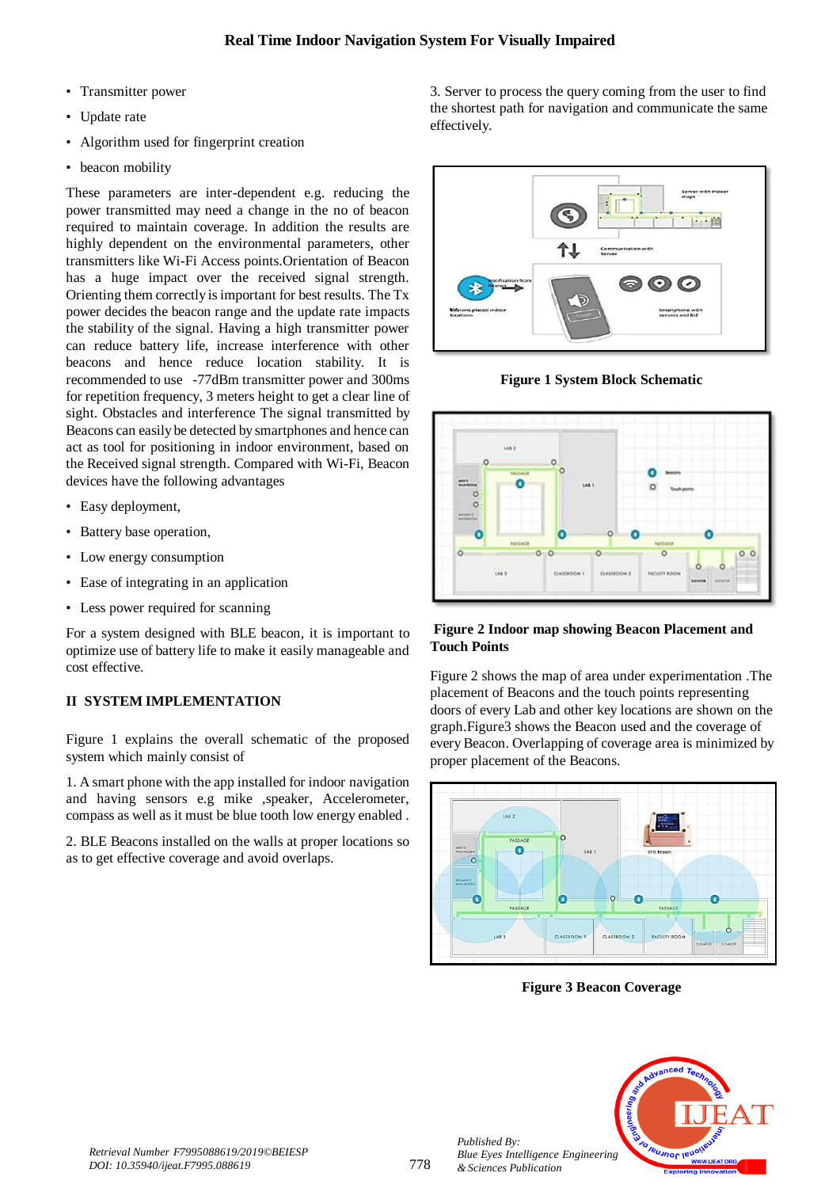- Transmitter power
- Update rate
- Algorithm used for fingerprint creation
- beacon mobility

These parameters are inter-dependent e.g. reducing the power transmitted may need a change in the no of beacon required to maintain coverage. In addition the results are highly dependent on the environmental parameters, other transmitters like Wi-Fi Access points.Orientation of Beacon has a huge impact over the received signal strength. Orienting them correctly is important for best results. The Tx power decides the beacon range and the update rate impacts the stability of the signal. Having a high transmitter power can reduce battery life, increase interference with other beacons and hence reduce location stability. It is recommended to use -77dBm transmitter power and 300ms for repetition frequency, 3 meters height to get a clear line of sight. Obstacles and interference The signal transmitted by Beacons can easily be detected by smartphones and hence can act as tool for positioning in indoor environment, based on the Received signal strength. Compared with Wi-Fi, Beacon devices have the following advantages

- Easy deployment,
- Battery base operation,
- Low energy consumption
- Ease of integrating in an application
- Less power required for scanning

For a system designed with BLE beacon, it is important to optimize use of battery life to make it easily manageable and cost effective.

## **II SYSTEM IMPLEMENTATION**

Figure 1 explains the overall schematic of the proposed system which mainly consist of

1. A smart phone with the app installed for indoor navigation and having sensors e.g mike ,speaker, Accelerometer, compass as well as it must be blue tooth low energy enabled .

2. BLE Beacons installed on the walls at proper locations so as to get effective coverage and avoid overlaps.

3. Server to process the query coming from the user to find the shortest path for navigation and communicate the same effectively.



**Figure 1 System Block Schematic**



### **Figure 2 Indoor map showing Beacon Placement and Touch Points**

Figure 2 shows the map of area under experimentation .The placement of Beacons and the touch points representing doors of every Lab and other key locations are shown on the graph.Figure3 shows the Beacon used and the coverage of every Beacon. Overlapping of coverage area is minimized by proper placement of the Beacons.



**Figure 3 Beacon Coverage**



*Published By:*

*& Sciences Publication*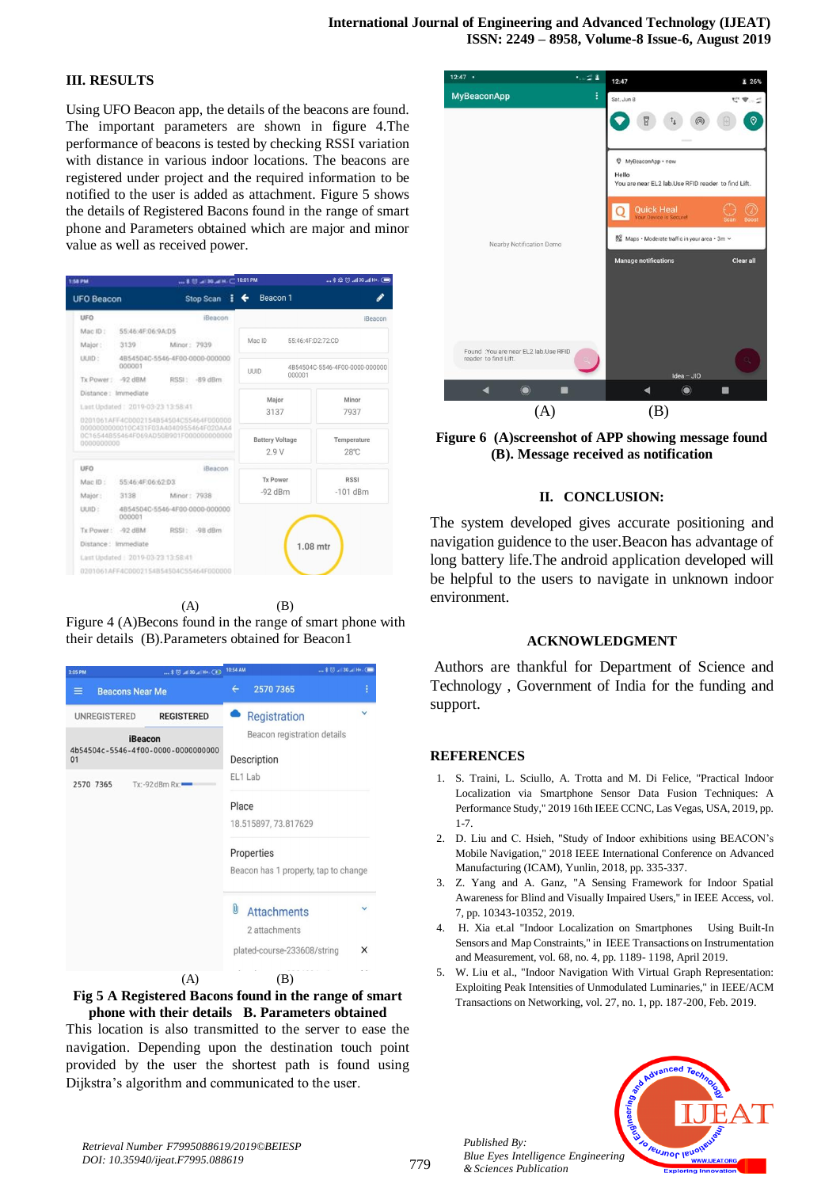#### **III. RESULTS**

Using UFO Beacon app, the details of the beacons are found. The important parameters are shown in figure 4.The performance of beacons is tested by checking RSSI variation with distance in various indoor locations. The beacons are registered under project and the required information to be notified to the user is added as attachment. Figure 5 shows the details of Registered Bacons found in the range of smart phone and Parameters obtained which are major and minor value as well as received power.

| 1:58 PM                                                                                                                                 |                                          |                                | $$ \$ U $-$ 30 $-$ H $-$ 10:01 PM |  |                                        |                 |            | <b>■ +HIm. 36 hm</b> © 28 \$   |  |
|-----------------------------------------------------------------------------------------------------------------------------------------|------------------------------------------|--------------------------------|-----------------------------------|--|----------------------------------------|-----------------|------------|--------------------------------|--|
| <b>UFO Beacon</b>                                                                                                                       |                                          |                                | Stop Scan                         |  | ←                                      | Beacon 1        |            |                                |  |
| <b>UFO</b>                                                                                                                              |                                          |                                | iBeacon                           |  |                                        |                 |            | iBeacon                        |  |
| Mac ID:                                                                                                                                 | 55:46:4F:06:9A:D5                        |                                |                                   |  |                                        |                 |            |                                |  |
| Major:                                                                                                                                  | 3139 Minor: 7939                         |                                |                                   |  | Mac ID                                 |                 |            | 55:46:4F:D2:72:CD              |  |
| LILID-                                                                                                                                  | 000001                                   | 4B54504C-5546-4F00-0000-000000 |                                   |  | <b>UUID</b>                            |                 |            | 4B54504C-5546-4F00-0000-000000 |  |
|                                                                                                                                         | Tx Power: - 92 dBM                       |                                | RSSI: -89 dBm                     |  |                                        |                 | 000001     |                                |  |
| Distance: Immediate                                                                                                                     |                                          |                                |                                   |  | Major                                  |                 |            | Minor                          |  |
| Lost Updated: 2019-03-23 13:58:41                                                                                                       |                                          |                                |                                   |  | 3137<br><b>Battery Voltage</b><br>2.9V |                 |            | 7937                           |  |
| 0201061AFF4C0002154B54504C55464F000000<br>0000000000010C431F03A4040955464F020AA4<br>0C16544B55464F069AD50B901F000000000000<br>000000000 |                                          |                                |                                   |  |                                        |                 |            | Temperature<br>$28^\circ C$    |  |
| UFO                                                                                                                                     |                                          |                                | iBeacon                           |  |                                        | <b>Tx Power</b> |            | <b>RSSI</b>                    |  |
|                                                                                                                                         | Mac ID: 55:46:4F:06:62:D3                |                                |                                   |  |                                        |                 | $-101$ dBm |                                |  |
|                                                                                                                                         | Major: 3138 Minor: 7938                  |                                |                                   |  | $-92$ dBm                              |                 |            |                                |  |
| UUID :                                                                                                                                  | 4B54504C-5546-4F00-0000-000000<br>000001 |                                |                                   |  |                                        |                 |            |                                |  |
|                                                                                                                                         | Tx Power: - 92 dBM                       |                                | RSSI: - 98 dBm                    |  |                                        |                 |            |                                |  |
|                                                                                                                                         | Distance: Immediate                      |                                |                                   |  |                                        |                 |            | $1.08$ mtr                     |  |
|                                                                                                                                         | Last Updated : 2019-03-23 13:58:41       |                                |                                   |  |                                        |                 |            |                                |  |
|                                                                                                                                         | 0201061AFF4C0002154B54504C55464F000000   |                                |                                   |  |                                        |                 |            |                                |  |

 $(A)$   $(B)$ Figure 4 (A)Becons found in the range of smart phone with their details (B).Parameters obtained for Beacon1



#### **Fig 5 A Registered Bacons found in the range of smart phone with their details B. Parameters obtained**

This location is also transmitted to the server to ease the navigation. Depending upon the destination touch point provided by the user the shortest path is found using Dijkstra's algorithm and communicated to the user.



**Figure 6 (A)screenshot of APP showing message found (B). Message received as notification**

#### **II. CONCLUSION:**

The system developed gives accurate positioning and navigation guidence to the user.Beacon has advantage of long battery life.The android application developed will be helpful to the users to navigate in unknown indoor environment.

#### **ACKNOWLEDGMENT**

Authors are thankful for Department of Science and Technology , Government of India for the funding and support.

#### **REFERENCES**

- 1. S. Traini, L. Sciullo, A. Trotta and M. Di Felice, "Practical Indoor Localization via Smartphone Sensor Data Fusion Techniques: A Performance Study," 2019 16th IEEE CCNC, Las Vegas, USA, 2019, pp. 1-7.
- 2. D. Liu and C. Hsieh, "Study of Indoor exhibitions using BEACON's Mobile Navigation," 2018 IEEE International Conference on Advanced Manufacturing (ICAM), Yunlin, 2018, pp. 335-337.
- 3. Z. Yang and A. Ganz, "A Sensing Framework for Indoor Spatial Awareness for Blind and Visually Impaired Users," in IEEE Access, vol. 7, pp. 10343-10352, 2019.
- 4. H. Xia et.al "Indoor Localization on Smartphones Using Built-In Sensors and Map Constraints," in IEEE Transactions on Instrumentation and Measurement, vol. 68, no. 4, pp. 1189- 1198, April 2019.
- 5. W. Liu et al., "Indoor Navigation With Virtual Graph Representation: Exploiting Peak Intensities of Unmodulated Luminaries," in IEEE/ACM Transactions on Networking, vol. 27, no. 1, pp. 187-200, Feb. 2019.



*Published By:*

*& Sciences Publication*